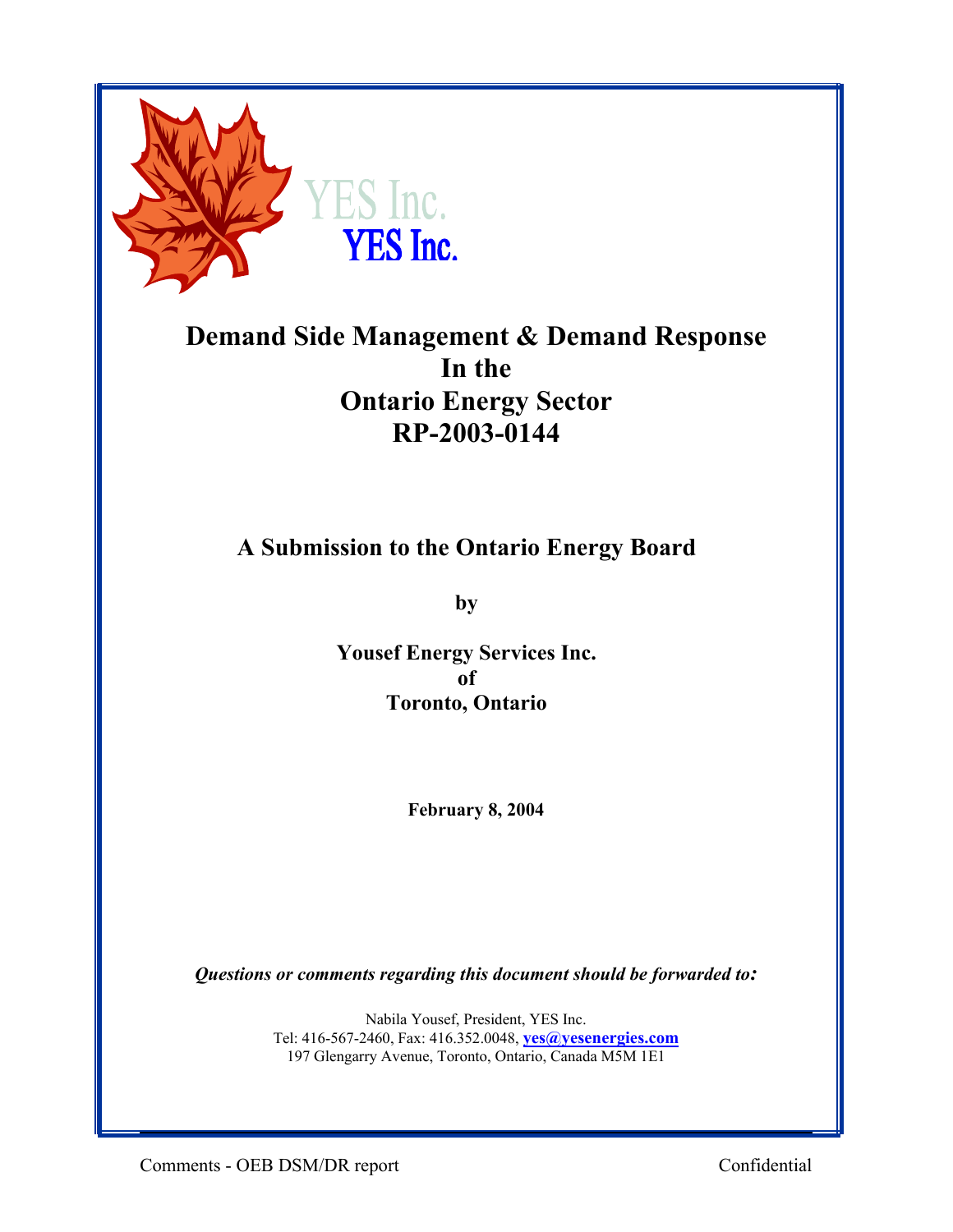

# **Demand Side Management & Demand Response In the Ontario Energy Sector RP-2003-0144**

## **A Submission to the Ontario Energy Board**

**by** 

**Yousef Energy Services Inc. of Toronto, Ontario** 

**February 8, 2004**

*Questions or comments regarding this document should be forwarded to:* 

Nabila Yousef, President, YES Inc. Tel: 416-567-2460, Fax: 416.352.0048, **yes@yesenergies.com** 197 Glengarry Avenue, Toronto, Ontario, Canada M5M 1E1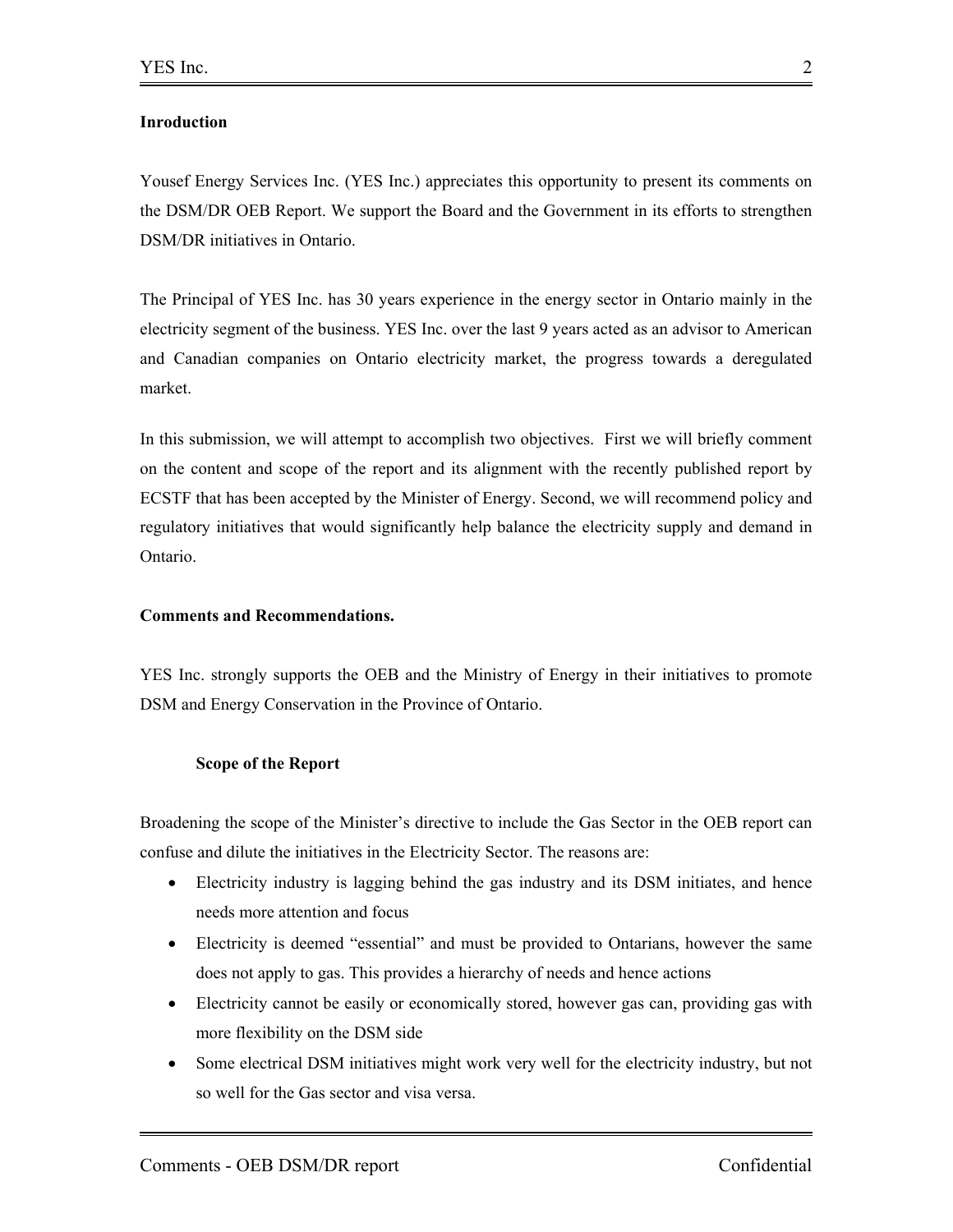### **Inroduction**

Yousef Energy Services Inc. (YES Inc.) appreciates this opportunity to present its comments on the DSM/DR OEB Report. We support the Board and the Government in its efforts to strengthen DSM/DR initiatives in Ontario.

The Principal of YES Inc. has 30 years experience in the energy sector in Ontario mainly in the electricity segment of the business. YES Inc. over the last 9 years acted as an advisor to American and Canadian companies on Ontario electricity market, the progress towards a deregulated market.

In this submission, we will attempt to accomplish two objectives. First we will briefly comment on the content and scope of the report and its alignment with the recently published report by ECSTF that has been accepted by the Minister of Energy. Second, we will recommend policy and regulatory initiatives that would significantly help balance the electricity supply and demand in Ontario.

### **Comments and Recommendations.**

YES Inc. strongly supports the OEB and the Ministry of Energy in their initiatives to promote DSM and Energy Conservation in the Province of Ontario.

#### **Scope of the Report**

Broadening the scope of the Minister's directive to include the Gas Sector in the OEB report can confuse and dilute the initiatives in the Electricity Sector. The reasons are:

- Electricity industry is lagging behind the gas industry and its DSM initiates, and hence needs more attention and focus
- Electricity is deemed "essential" and must be provided to Ontarians, however the same does not apply to gas. This provides a hierarchy of needs and hence actions
- Electricity cannot be easily or economically stored, however gas can, providing gas with more flexibility on the DSM side
- Some electrical DSM initiatives might work very well for the electricity industry, but not so well for the Gas sector and visa versa.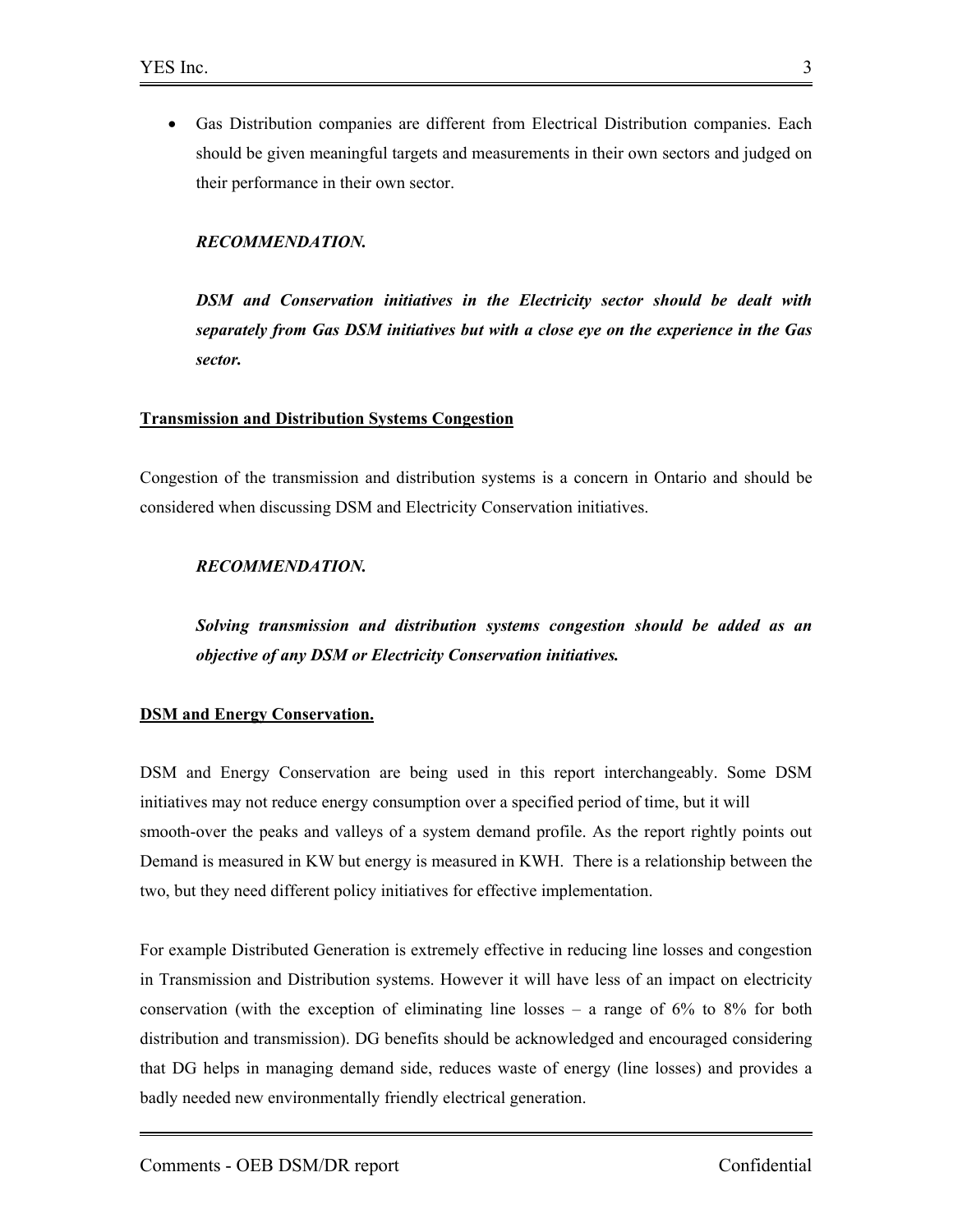• Gas Distribution companies are different from Electrical Distribution companies. Each should be given meaningful targets and measurements in their own sectors and judged on their performance in their own sector.

#### *RECOMMENDATION.*

*DSM and Conservation initiatives in the Electricity sector should be dealt with separately from Gas DSM initiatives but with a close eye on the experience in the Gas sector.* 

#### **Transmission and Distribution Systems Congestion**

Congestion of the transmission and distribution systems is a concern in Ontario and should be considered when discussing DSM and Electricity Conservation initiatives.

#### *RECOMMENDATION.*

*Solving transmission and distribution systems congestion should be added as an objective of any DSM or Electricity Conservation initiatives.* 

#### **DSM and Energy Conservation.**

DSM and Energy Conservation are being used in this report interchangeably. Some DSM initiatives may not reduce energy consumption over a specified period of time, but it will smooth-over the peaks and valleys of a system demand profile. As the report rightly points out Demand is measured in KW but energy is measured in KWH. There is a relationship between the two, but they need different policy initiatives for effective implementation.

For example Distributed Generation is extremely effective in reducing line losses and congestion in Transmission and Distribution systems. However it will have less of an impact on electricity conservation (with the exception of eliminating line losses  $-$  a range of 6% to 8% for both distribution and transmission). DG benefits should be acknowledged and encouraged considering that DG helps in managing demand side, reduces waste of energy (line losses) and provides a badly needed new environmentally friendly electrical generation.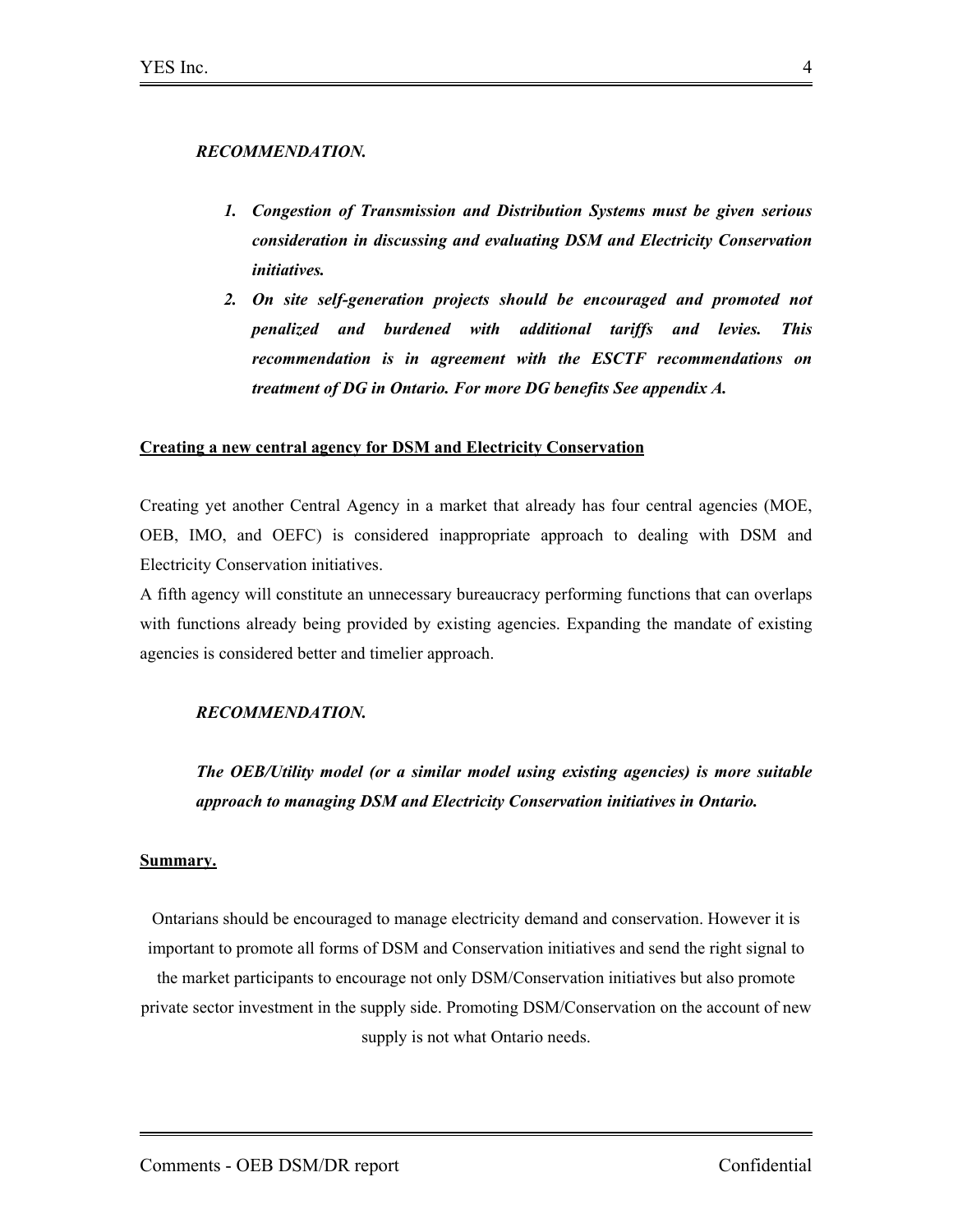#### *RECOMMENDATION.*

- *1. Congestion of Transmission and Distribution Systems must be given serious consideration in discussing and evaluating DSM and Electricity Conservation initiatives.*
- 2. On site self-generation projects should be encouraged and promoted not *penalized and burdened with additional tariffs and levies. This recommendation is in agreement with the ESCTF recommendations on treatment of DG in Ontario. For more DG benefits See appendix A.*

#### **Creating a new central agency for DSM and Electricity Conservation**

Creating yet another Central Agency in a market that already has four central agencies (MOE, OEB, IMO, and OEFC) is considered inappropriate approach to dealing with DSM and Electricity Conservation initiatives.

A fifth agency will constitute an unnecessary bureaucracy performing functions that can overlaps with functions already being provided by existing agencies. Expanding the mandate of existing agencies is considered better and timelier approach.

### *RECOMMENDATION.*

*The OEB/Utility model (or a similar model using existing agencies) is more suitable approach to managing DSM and Electricity Conservation initiatives in Ontario.* 

#### **Summary.**

Ontarians should be encouraged to manage electricity demand and conservation. However it is important to promote all forms of DSM and Conservation initiatives and send the right signal to the market participants to encourage not only DSM/Conservation initiatives but also promote private sector investment in the supply side. Promoting DSM/Conservation on the account of new supply is not what Ontario needs.